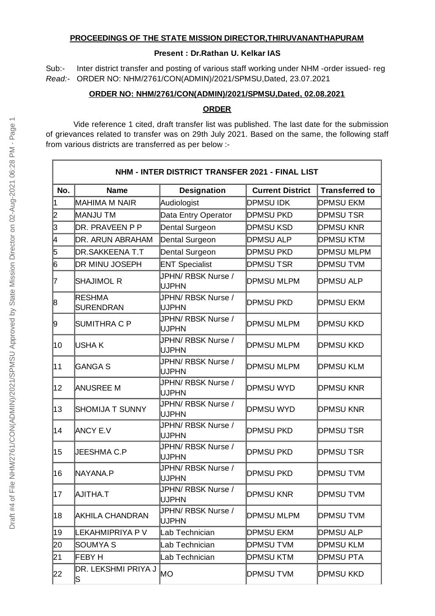## **PROCEEDINGS OF THE STATE MISSION DIRECTOR,THIRUVANANTHAPURAM**

### **Present : Dr.Rathan U. Kelkar IAS**

Sub:- Inter district transfer and posting of various staff working under NHM -order issued- reg *Read:-* ORDER NO: NHM/2761/CON(ADMIN)/2021/SPMSU,Dated, 23.07.2021

### **ORDER NO: NHM/2761/CON(ADMIN)/2021/SPMSU,Dated, 02.08.2021**

#### **ORDER**

Vide reference 1 cited, draft transfer list was published. The last date for the submission of grievances related to transfer was on 29th July 2021. Based on the same, the following staff from various districts are transferred as per below :-

| NHM - INTER DISTRICT TRANSFER 2021 - FINAL LIST |                                   |                                    |                         |                       |  |  |  |
|-------------------------------------------------|-----------------------------------|------------------------------------|-------------------------|-----------------------|--|--|--|
| No.                                             | <b>Name</b>                       | <b>Designation</b>                 | <b>Current District</b> | <b>Transferred to</b> |  |  |  |
| 1                                               | MAHIMA M NAIR                     | Audiologist                        | <b>DPMSU IDK</b>        | <b>DPMSU EKM</b>      |  |  |  |
| 2                                               | MANJU TM                          | Data Entry Operator                | <b>DPMSU PKD</b>        | <b>DPMSUTSR</b>       |  |  |  |
| 3                                               | DR. PRAVEEN P P                   | Dental Surgeon                     | <b>DPMSU KSD</b>        | <b>DPMSU KNR</b>      |  |  |  |
| 4                                               | DR. ARUN ABRAHAM                  | Dental Surgeon                     | <b>DPMSU ALP</b>        | <b>DPMSU KTM</b>      |  |  |  |
| 5                                               | <b>DR.SAKKEENAT.T</b>             | Dental Surgeon                     | <b>DPMSU PKD</b>        | <b>DPMSU MLPM</b>     |  |  |  |
| 6                                               | DR MINU JOSEPH                    | <b>ENT Specialist</b>              | <b>DPMSUTSR</b>         | <b>DPMSUTVM</b>       |  |  |  |
| 7                                               | SHAJIMOL R                        | JPHN/ RBSK Nurse /<br><b>UJPHN</b> | <b>DPMSU MLPM</b>       | <b>DPMSU ALP</b>      |  |  |  |
| 8                                               | <b>RESHMA</b><br><b>SURENDRAN</b> | JPHN/ RBSK Nurse /<br><b>UJPHN</b> | <b>DPMSU PKD</b>        | <b>DPMSU EKM</b>      |  |  |  |
| 9                                               | <b>SUMITHRA C P</b>               | JPHN/ RBSK Nurse /<br><b>UJPHN</b> | <b>DPMSU MLPM</b>       | <b>DPMSU KKD</b>      |  |  |  |
| 10                                              | lusha k                           | JPHN/ RBSK Nurse /<br><b>UJPHN</b> | <b>DPMSU MLPM</b>       | <b>DPMSU KKD</b>      |  |  |  |
| 11                                              | <b>GANGA S</b>                    | JPHN/ RBSK Nurse /<br><b>UJPHN</b> | <b>DPMSU MLPM</b>       | <b>DPMSU KLM</b>      |  |  |  |
| $12 \overline{ }$                               | <b>ANUSREE M</b>                  | JPHN/ RBSK Nurse /<br><b>UJPHN</b> | <b>DPMSU WYD</b>        | <b>DPMSU KNR</b>      |  |  |  |
| 13                                              | <b>SHOMIJA T SUNNY</b>            | JPHN/ RBSK Nurse /<br><b>UJPHN</b> | <b>DPMSU WYD</b>        | <b>DPMSU KNR</b>      |  |  |  |
| 14                                              | <b>ANCY E.V</b>                   | JPHN/ RBSK Nurse /<br><b>UJPHN</b> | <b>DPMSU PKD</b>        | <b>DPMSUTSR</b>       |  |  |  |
| 15                                              | <b>JEESHMA C.P</b>                | JPHN/ RBSK Nurse /<br><b>UJPHN</b> | <b>DPMSU PKD</b>        | <b>DPMSUTSR</b>       |  |  |  |
| 16                                              | NAYANA.P                          | JPHN/ RBSK Nurse /<br><b>UJPHN</b> | <b>DPMSU PKD</b>        | <b>DPMSUTVM</b>       |  |  |  |
| 17                                              | AJITHA.T                          | JPHN/ RBSK Nurse /<br><b>UJPHN</b> | <b>DPMSU KNR</b>        | <b>DPMSUTVM</b>       |  |  |  |
| 18                                              | <b>AKHILA CHANDRAN</b>            | JPHN/ RBSK Nurse /<br><b>UJPHN</b> | <b>DPMSU MLPM</b>       | <b>DPMSUTVM</b>       |  |  |  |
| 19                                              | LEKAHMIPRIYA P V                  | Lab Technician                     | <b>DPMSU EKM</b>        | <b>DPMSU ALP</b>      |  |  |  |
| 20                                              | <b>SOUMYA S</b>                   | Lab Technician                     | <b>DPMSUTVM</b>         | <b>DPMSU KLM</b>      |  |  |  |
| 21                                              | FEBY H                            | Lab Technician                     | <b>DPMSU KTM</b>        | <b>DPMSU PTA</b>      |  |  |  |
| 22                                              | DR. LEKSHMI PRIYA J<br>S.         | МO                                 | <b>DPMSUTVM</b>         | <b>DPMSU KKD</b>      |  |  |  |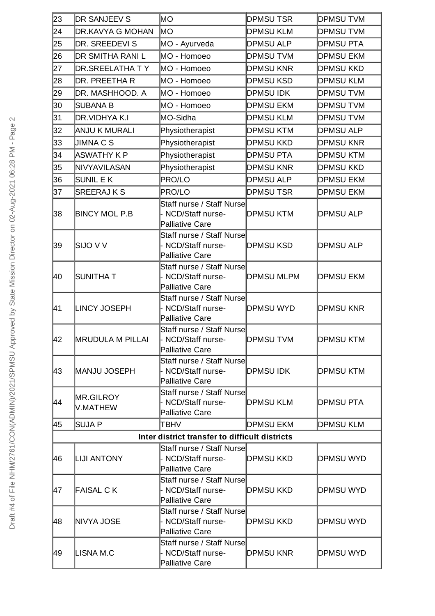| 23 | <b>DR SANJEEV S</b>     | MО                                                                  | <b>DPMSUTSR</b>   | <b>DPMSUTVM</b>  |
|----|-------------------------|---------------------------------------------------------------------|-------------------|------------------|
| 24 | DR.KAVYA G MOHAN        | lмo                                                                 | <b>DPMSU KLM</b>  | <b>DPMSUTVM</b>  |
| 25 | DR. SREEDEVI S          | MO - Ayurveda                                                       | <b>DPMSU ALP</b>  | <b>DPMSU PTA</b> |
| 26 | DR SMITHA RANI L        | MO - Homoeo                                                         | <b>DPMSUTVM</b>   | <b>DPMSU EKM</b> |
| 27 | <b>DR.SREELATHA T Y</b> | MO - Homoeo                                                         | <b>DPMSU KNR</b>  | <b>DPMSU KKD</b> |
| 28 | DR. PREETHA R           | MO - Homoeo                                                         | <b>DPMSU KSD</b>  | <b>DPMSU KLM</b> |
| 29 | DR. MASHHOOD. A         | MO - Homoeo                                                         | <b>DPMSU IDK</b>  | <b>DPMSUTVM</b>  |
| 30 | SUBANA B                | MO - Homoeo                                                         | <b>DPMSU EKM</b>  | <b>DPMSUTVM</b>  |
| 31 | DR.VIDHYA K.I           | MO-Sidha                                                            | <b>DPMSU KLM</b>  | <b>DPMSUTVM</b>  |
| 32 | ANJU K MURALI           | Physiotherapist                                                     | <b>DPMSU KTM</b>  | <b>DPMSU ALP</b> |
| 33 | JIMNA C S               | Physiotherapist                                                     | <b>DPMSU KKD</b>  | <b>DPMSU KNR</b> |
| 34 | ASWATHY K P             | Physiotherapist                                                     | <b>DPMSU PTA</b>  | <b>DPMSU KTM</b> |
| 35 | NIVYAVILASAN            | Physiotherapist                                                     | <b>DPMSU KNR</b>  | <b>DPMSU KKD</b> |
| 36 | SUNIL EK                | <b>PRO/LO</b>                                                       | <b>DPMSU ALP</b>  | <b>DPMSU EKM</b> |
| 37 | <b>SREERAJ K S</b>      | <b>PRO/LO</b>                                                       | <b>DPMSUTSR</b>   | <b>DPMSU EKM</b> |
| 38 | <b>BINCY MOL P.B</b>    | Staff nurse / Staff Nurse<br>NCD/Staff nurse-<br>Palliative Care    | <b>DPMSU KTM</b>  | <b>DPMSU ALP</b> |
| 39 | SIJO V V                | Staff nurse / Staff Nurse<br>NCD/Staff nurse-<br>Palliative Care    | <b>DPMSU KSD</b>  | <b>DPMSU ALP</b> |
| 40 | SUNITHA T               | Staff nurse / Staff Nurse<br>NCD/Staff nurse-<br>Palliative Care    | <b>DPMSU MLPM</b> | <b>DPMSU EKM</b> |
| 41 | <b>LINCY JOSEPH</b>     | Staff nurse / Staff Nurse<br>NCD/Staff nurse-<br>Palliative Care    | <b>DPMSU WYD</b>  | <b>DPMSU KNR</b> |
| 42 | <b>MRUDULA M PILLAI</b> | Staff nurse / Staff Nurse<br>- NCD/Staff nurse-<br>Palliative Care  | <b>DPMSUTVM</b>   | <b>DPMSU KTM</b> |
| 43 | MANJU JOSEPH            | Staff nurse / Staff Nurse<br>NCD/Staff nurse-<br>Palliative Care    | <b>DPMSU IDK</b>  | <b>DPMSU KTM</b> |
| 44 | MR.GILROY<br>V.MATHEW   | Staff nurse / Staff Nurse<br>NCD/Staff nurse-<br>Palliative Care    | <b>DPMSU KLM</b>  | <b>DPMSU PTA</b> |
| 45 | <b>SUJA P</b>           | TBHV                                                                | <b>DPMSU EKM</b>  | <b>DPMSU KLM</b> |
|    |                         | Inter district transfer to difficult districts                      |                   |                  |
| 46 | <b>LIJI ANTONY</b>      | Staff nurse / Staff Nursel<br>- NCD/Staff nurse-<br>Palliative Care | <b>DPMSU KKD</b>  | DPMSU WYD        |
| 47 | <b>FAISAL CK</b>        | Staff nurse / Staff Nurse<br>NCD/Staff nurse-<br>Palliative Care    | <b>DPMSU KKD</b>  | <b>DPMSU WYD</b> |
| 48 | NIVYA JOSE              | Staff nurse / Staff Nurse<br>NCD/Staff nurse-<br>Palliative Care    | <b>DPMSU KKD</b>  | <b>DPMSU WYD</b> |
| 49 | LISNA M.C               | Staff nurse / Staff Nurse<br>- NCD/Staff nurse-<br>Palliative Care  | <b>DPMSU KNR</b>  | DPMSU WYD        |